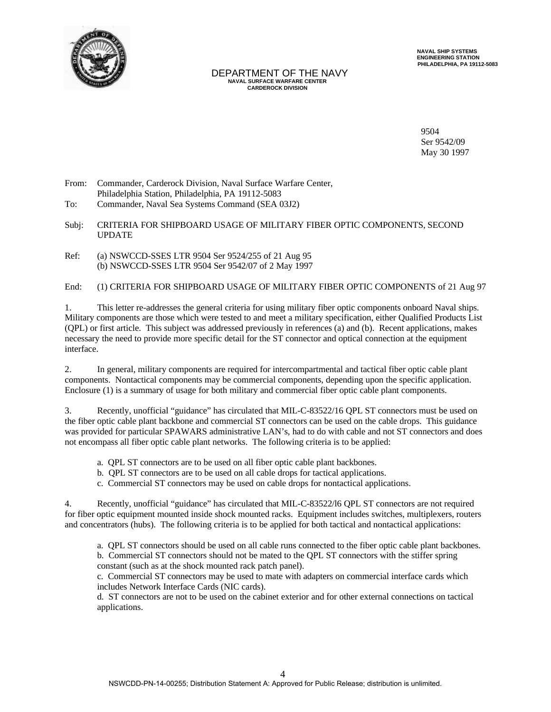

## DEPARTMENT OF THE NAVY  **NAVAL SURFACE WARFARE CENTER CARDEROCK DIVISION**

 **NAVAL SHIP SYSTEMS ENGINEERING STATION PHILADELPHIA, PA 19112-5083**

9504 Ser 9542/09 May 30 1997

From: Commander, Carderock Division, Naval Surface Warfare Center, Philadelphia Station, Philadelphia, PA 19112-5083 To: Commander, Naval Sea Systems Command (SEA 03J2)

Subj: CRITERIA FOR SHIPBOARD USAGE OF MILITARY FIBER OPTIC COMPONENTS, SECOND UPDATE

Ref: (a) NSWCCD-SSES LTR 9504 Ser 9524/255 of 21 Aug 95 (b) NSWCCD-SSES LTR 9504 Ser 9542/07 of 2 May 1997

End: (1) CRITERIA FOR SHIPBOARD USAGE OF MILITARY FIBER OPTIC COMPONENTS of 21 Aug 97

1. This letter re-addresses the general criteria for using military fiber optic components onboard Naval ships. Military components are those which were tested to and meet a military specification, either Qualified Products List (QPL) or first article. This subject was addressed previously in references (a) and (b). Recent applications, makes necessary the need to provide more specific detail for the ST connector and optical connection at the equipment interface.

2. In general, military components are required for intercompartmental and tactical fiber optic cable plant components. Nontactical components may be commercial components, depending upon the specific application. Enclosure (1) is a summary of usage for both military and commercial fiber optic cable plant components.

3. Recently, unofficial "guidance" has circulated that MIL-C-83522/16 QPL ST connectors must be used on the fiber optic cable plant backbone and commercial ST connectors can be used on the cable drops. This guidance was provided for particular SPAWARS administrative LAN's, had to do with cable and not ST connectors and does not encompass all fiber optic cable plant networks. The following criteria is to be applied:

- a. QPL ST connectors are to be used on all fiber optic cable plant backbones.
- b. QPL ST connectors are to be used on all cable drops for tactical applications.
- c. Commercial ST connectors may be used on cable drops for nontactical applications.

4. Recently, unofficial "guidance" has circulated that MIL-C-83522/l6 QPL ST connectors are not required for fiber optic equipment mounted inside shock mounted racks. Equipment includes switches, multiplexers, routers and concentrators (hubs). The following criteria is to be applied for both tactical and nontactical applications:

a. QPL ST connectors should be used on all cable runs connected to the fiber optic cable plant backbones. b. Commercial ST connectors should not be mated to the QPL ST connectors with the stiffer spring constant (such as at the shock mounted rack patch panel).

c. Commercial ST connectors may be used to mate with adapters on commercial interface cards which includes Network Interface Cards (NIC cards).

d. ST connectors are not to be used on the cabinet exterior and for other external connections on tactical applications.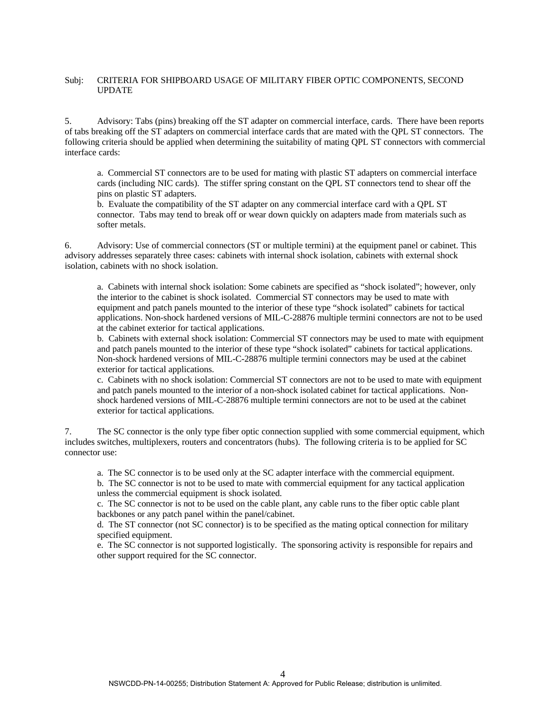## Subj: CRITERIA FOR SHIPBOARD USAGE OF MILITARY FIBER OPTIC COMPONENTS, SECOND UPDATE

5. Advisory: Tabs (pins) breaking off the ST adapter on commercial interface, cards. There have been reports of tabs breaking off the ST adapters on commercial interface cards that are mated with the QPL ST connectors. The following criteria should be applied when determining the suitability of mating QPL ST connectors with commercial interface cards:

a. Commercial ST connectors are to be used for mating with plastic ST adapters on commercial interface cards (including NIC cards). The stiffer spring constant on the QPL ST connectors tend to shear off the pins on plastic ST adapters.

b. Evaluate the compatibility of the ST adapter on any commercial interface card with a QPL ST connector. Tabs may tend to break off or wear down quickly on adapters made from materials such as softer metals.

6. Advisory: Use of commercial connectors (ST or multiple termini) at the equipment panel or cabinet. This advisory addresses separately three cases: cabinets with internal shock isolation, cabinets with external shock isolation, cabinets with no shock isolation.

a. Cabinets with internal shock isolation: Some cabinets are specified as "shock isolated"; however, only the interior to the cabinet is shock isolated. Commercial ST connectors may be used to mate with equipment and patch panels mounted to the interior of these type "shock isolated" cabinets for tactical applications. Non-shock hardened versions of MIL-C-28876 multiple termini connectors are not to be used at the cabinet exterior for tactical applications.

b. Cabinets with external shock isolation: Commercial ST connectors may be used to mate with equipment and patch panels mounted to the interior of these type "shock isolated" cabinets for tactical applications. Non-shock hardened versions of MIL-C-28876 multiple termini connectors may be used at the cabinet exterior for tactical applications.

c. Cabinets with no shock isolation: Commercial ST connectors are not to be used to mate with equipment and patch panels mounted to the interior of a non-shock isolated cabinet for tactical applications. Nonshock hardened versions of MIL-C-28876 multiple termini connectors are not to be used at the cabinet exterior for tactical applications.

7. The SC connector is the only type fiber optic connection supplied with some commercial equipment, which includes switches, multiplexers, routers and concentrators (hubs). The following criteria is to be applied for SC connector use:

a. The SC connector is to be used only at the SC adapter interface with the commercial equipment.

b. The SC connector is not to be used to mate with commercial equipment for any tactical application unless the commercial equipment is shock isolated.

c. The SC connector is not to be used on the cable plant, any cable runs to the fiber optic cable plant backbones or any patch panel within the panel/cabinet.

d. The ST connector (not SC connector) is to be specified as the mating optical connection for military specified equipment.

e. The SC connector is not supported logistically. The sponsoring activity is responsible for repairs and other support required for the SC connector.